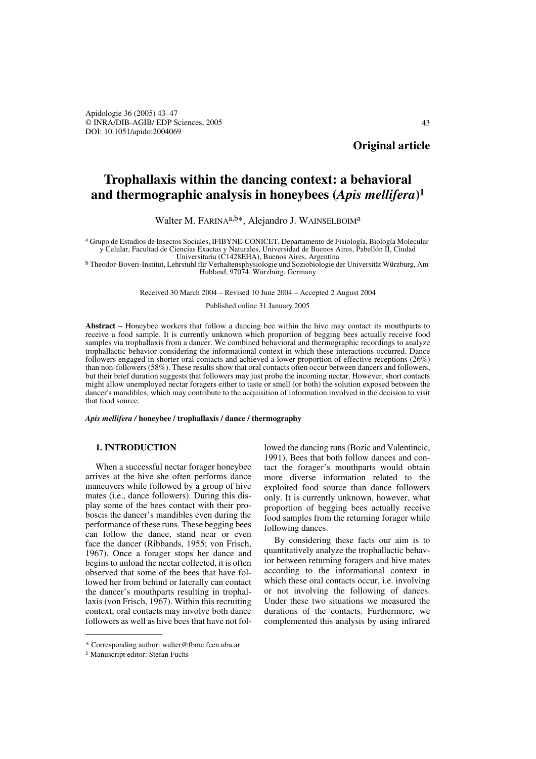Apidologie 36 (2005) 43–47 © INRA/DIB-AGIB/ EDP Sciences, 2005 DOI: 10.1051/apido:2004069

**Original article**

# **Trophallaxis within the dancing context: a behavioral and thermographic analysis in honeybees (***Apis mellifera***)1**

Walter M. FARINA<sup>a,b\*</sup>, Alejandro J. WAINSELBOIM<sup>a</sup>

a Grupo de Estudios de Insectos Sociales, IFIBYNE-CONICET, Departamento de Fisiología, Biología Molecular y Celular, Facultad de Ciencias Exactas y Naturales, Universidad de Buenos Aires, Pabellón II, Ciudad

<sup>b</sup> Theodor-Boveri-Institut, Lehrstuhl für Verhaltensphysiologie und Soziobiologie der Universität Würzburg, Am Hubland, 97074, Würzburg, Germany

Received 30 March 2004 – Revised 10 June 2004 – Accepted 2 August 2004

Published online 31 January 2005

**Abstract** – Honeybee workers that follow a dancing bee within the hive may contact its mouthparts to receive a food sample. It is currently unknown which proportion of begging bees actually receive food samples via trophallaxis from a dancer. We combined behavioral and thermographic recordings to analyze trophallactic behavior considering the informational context in which these interactions occurred. Dance followers engaged in shorter oral contacts and achieved a lower proportion of effective receptions (26%) than non-followers (58%). These results show that oral contacts often occur between dancers and followers, but their brief duration suggests that followers may just probe the incoming nectar. However, short contacts might allow unemployed nectar foragers either to taste or smell (or both) the solution exposed between the dancer's mandibles, which may contribute to the acquisition of information involved in the decision to visit that food source.

*Apis mellifera /* **honeybee / trophallaxis / dance / thermography** 

## **1. INTRODUCTION**

When a successful nectar forager honeybee arrives at the hive she often performs dance maneuvers while followed by a group of hive mates (i.e., dance followers). During this display some of the bees contact with their proboscis the dancer's mandibles even during the performance of these runs. These begging bees can follow the dance, stand near or even face the dancer (Ribbands, 1955; von Frisch, 1967). Once a forager stops her dance and begins to unload the nectar collected, it is often observed that some of the bees that have followed her from behind or laterally can contact the dancer's mouthparts resulting in trophallaxis (von Frisch, 1967). Within this recruiting context, oral contacts may involve both dance followers as well as hive bees that have not fol-

lowed the dancing runs (Bozic and Valentincic, 1991). Bees that both follow dances and contact the forager's mouthparts would obtain more diverse information related to the exploited food source than dance followers only. It is currently unknown, however, what proportion of begging bees actually receive food samples from the returning forager while following dances.

By considering these facts our aim is to quantitatively analyze the trophallactic behavior between returning foragers and hive mates according to the informational context in which these oral contacts occur, i.e. involving or not involving the following of dances. Under these two situations we measured the durations of the contacts. Furthermore, we complemented this analysis by using infrared

<sup>\*</sup> Corresponding author: walter@fbmc.fcen.uba.ar

<sup>1</sup> Manuscript editor: Stefan Fuchs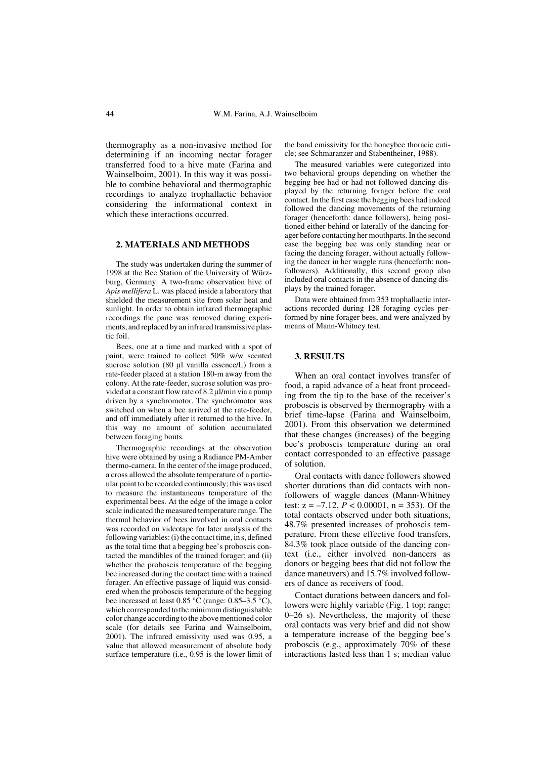thermography as a non-invasive method for determining if an incoming nectar forager transferred food to a hive mate (Farina and Wainselboim, 2001). In this way it was possible to combine behavioral and thermographic recordings to analyze trophallactic behavior considering the informational context in which these interactions occurred.

#### **2. MATERIALS AND METHODS**

The study was undertaken during the summer of 1998 at the Bee Station of the University of Würzburg, Germany. A two-frame observation hive of *Apis mellifera* L. was placed inside a laboratory that shielded the measurement site from solar heat and sunlight. In order to obtain infrared thermographic recordings the pane was removed during experiments, and replaced by an infrared transmissive plastic foil.

Bees, one at a time and marked with a spot of paint, were trained to collect 50% w/w scented sucrose solution (80 µl vanilla essence/L) from a rate-feeder placed at a station 180-m away from the colony. At the rate-feeder, sucrose solution was provided at a constant flow rate of 8.2 µl/min via a pump driven by a synchromotor. The synchromotor was switched on when a bee arrived at the rate-feeder, and off immediately after it returned to the hive. In this way no amount of solution accumulated between foraging bouts.

Thermographic recordings at the observation hive were obtained by using a Radiance PM-Amber thermo-camera. In the center of the image produced, a cross allowed the absolute temperature of a particular point to be recorded continuously; this was used to measure the instantaneous temperature of the experimental bees. At the edge of the image a color scale indicated the measured temperature range. The thermal behavior of bees involved in oral contacts was recorded on videotape for later analysis of the following variables: (i) the contact time, in s, defined as the total time that a begging bee's proboscis contacted the mandibles of the trained forager; and (ii) whether the proboscis temperature of the begging bee increased during the contact time with a trained forager. An effective passage of liquid was considered when the proboscis temperature of the begging bee increased at least  $0.85 \text{ °C}$  (range:  $0.85-3.5 \text{ °C}$ ), which corresponded to the minimum distinguishable color change according to the above mentioned color scale (for details see Farina and Wainselboim, 2001). The infrared emissivity used was 0.95, a value that allowed measurement of absolute body surface temperature (i.e., 0.95 is the lower limit of the band emissivity for the honeybee thoracic cuticle; see Schmaranzer and Stabentheiner, 1988).

The measured variables were categorized into two behavioral groups depending on whether the begging bee had or had not followed dancing displayed by the returning forager before the oral contact. In the first case the begging bees had indeed followed the dancing movements of the returning forager (henceforth: dance followers), being positioned either behind or laterally of the dancing forager before contacting her mouthparts. In the second case the begging bee was only standing near or facing the dancing forager, without actually following the dancer in her waggle runs (henceforth: nonfollowers). Additionally, this second group also included oral contacts in the absence of dancing displays by the trained forager.

Data were obtained from 353 trophallactic interactions recorded during 128 foraging cycles performed by nine forager bees, and were analyzed by means of Mann-Whitney test.

### **3. RESULTS**

When an oral contact involves transfer of food, a rapid advance of a heat front proceeding from the tip to the base of the receiver's proboscis is observed by thermography with a brief time-lapse (Farina and Wainselboim, 2001). From this observation we determined that these changes (increases) of the begging bee's proboscis temperature during an oral contact corresponded to an effective passage of solution.

Oral contacts with dance followers showed shorter durations than did contacts with nonfollowers of waggle dances (Mann-Whitney test:  $z = -7.12$ ,  $P < 0.00001$ ,  $n = 353$ ). Of the total contacts observed under both situations, 48.7% presented increases of proboscis temperature. From these effective food transfers, 84.3% took place outside of the dancing context (i.e., either involved non-dancers as donors or begging bees that did not follow the dance maneuvers) and 15.7% involved followers of dance as receivers of food.

Contact durations between dancers and followers were highly variable (Fig. 1 top; range: 0–26 s). Nevertheless, the majority of these oral contacts was very brief and did not show a temperature increase of the begging bee's proboscis (e.g., approximately 70% of these interactions lasted less than 1 s; median value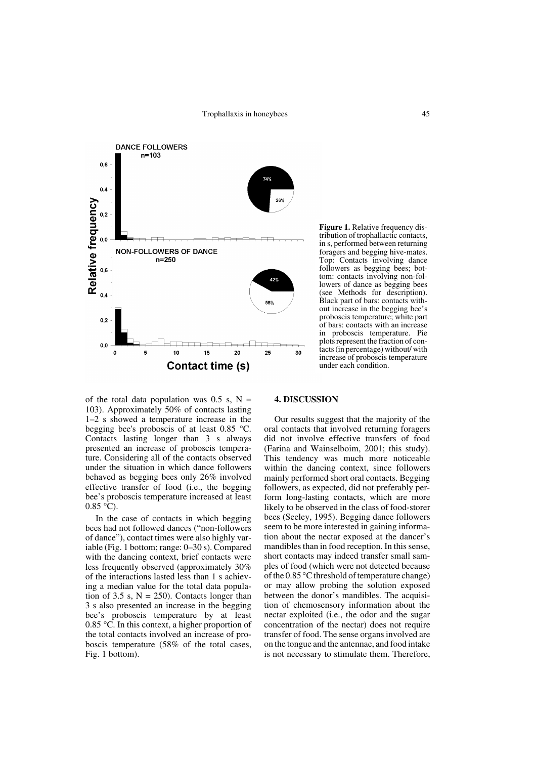

**Figure 1.** Relative frequency distribution of trophallactic contacts, in s, performed between returning foragers and begging hive-mates. Top: Contacts involving dance followers as begging bees; bottom: contacts involving non-followers of dance as begging bees (see Methods for description). Black part of bars: contacts without increase in the begging bee's proboscis temperature; white part of bars: contacts with an increase in proboscis temperature. Pie plots represent the fraction of contacts (in percentage) without/ with increase of proboscis temperature under each condition.

of the total data population was  $0.5$  s, N = 103). Approximately 50% of contacts lasting 1–2 s showed a temperature increase in the begging bee's proboscis of at least 0.85 °C. Contacts lasting longer than 3 s always presented an increase of proboscis temperature. Considering all of the contacts observed under the situation in which dance followers behaved as begging bees only 26% involved effective transfer of food (i.e., the begging bee's proboscis temperature increased at least  $0.85 °C$ ).

In the case of contacts in which begging bees had not followed dances ("non-followers of dance"), contact times were also highly variable (Fig. 1 bottom; range: 0–30 s). Compared with the dancing context, brief contacts were less frequently observed (approximately 30% of the interactions lasted less than 1 s achieving a median value for the total data population of 3.5 s,  $N = 250$ ). Contacts longer than 3 s also presented an increase in the begging bee's proboscis temperature by at least 0.85 °C. In this context, a higher proportion of the total contacts involved an increase of proboscis temperature (58% of the total cases, Fig. 1 bottom).

## **4. DISCUSSION**

Our results suggest that the majority of the oral contacts that involved returning foragers did not involve effective transfers of food (Farina and Wainselboim, 2001; this study). This tendency was much more noticeable within the dancing context, since followers mainly performed short oral contacts. Begging followers, as expected, did not preferably perform long-lasting contacts, which are more likely to be observed in the class of food-storer bees (Seeley, 1995). Begging dance followers seem to be more interested in gaining information about the nectar exposed at the dancer's mandibles than in food reception. In this sense, short contacts may indeed transfer small samples of food (which were not detected because of the 0.85 °C threshold of temperature change) or may allow probing the solution exposed between the donor's mandibles. The acquisition of chemosensory information about the nectar exploited (i.e., the odor and the sugar concentration of the nectar) does not require transfer of food. The sense organs involved are on the tongue and the antennae, and food intake is not necessary to stimulate them. Therefore,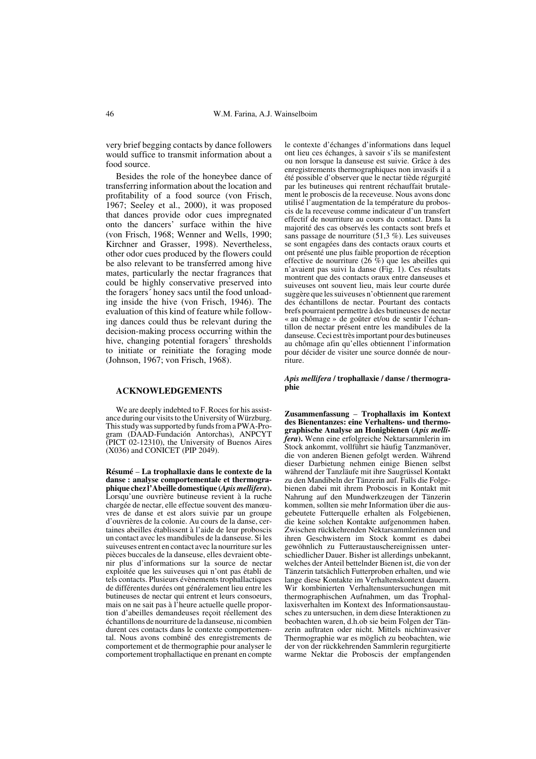very brief begging contacts by dance followers would suffice to transmit information about a food source.

Besides the role of the honeybee dance of transferring information about the location and profitability of a food source (von Frisch, 1967; Seeley et al., 2000), it was proposed that dances provide odor cues impregnated onto the dancers' surface within the hive (von Frisch, 1968; Wenner and Wells, 1990; Kirchner and Grasser, 1998). Nevertheless, other odor cues produced by the flowers could be also relevant to be transferred among hive mates, particularly the nectar fragrances that could be highly conservative preserved into the foragers´ honey sacs until the food unloading inside the hive (von Frisch, 1946). The evaluation of this kind of feature while following dances could thus be relevant during the decision-making process occurring within the hive, changing potential foragers' thresholds to initiate or reinitiate the foraging mode (Johnson, 1967; von Frisch, 1968).

### **ACKNOWLEDGEMENTS**

We are deeply indebted to F. Roces for his assistance during our visits to the University of Würzburg. This study was supported by funds from a PWA-Program (DAAD-Fundación Antorchas), ANPCYT (PICT 02-12310), the University of Buenos Aires  $(X036)$  and CONICET (PIP 2049).

**Résumé** – **La trophallaxie dans le contexte de la danse : analyse comportementale et thermographique chez l'Abeille domestique (***Apis mellifera***).** Lorsqu'une ouvrière butineuse revient à la ruche chargée de nectar, elle effectue souvent des manœuvres de danse et est alors suivie par un groupe d'ouvrières de la colonie. Au cours de la danse, certaines abeilles établissent à l'aide de leur proboscis un contact avec les mandibules de la danseuse. Si les suiveuses entrent en contact avec la nourriture sur les pièces buccales de la danseuse, elles devraient obtenir plus d'informations sur la source de nectar exploitée que les suiveuses qui n'ont pas établi de tels contacts. Plusieurs évènements trophallactiques de différentes durées ont généralement lieu entre les butineuses de nectar qui entrent et leurs consoeurs, mais on ne sait pas à l'heure actuelle quelle proportion d'abeilles demandeuses reçoit réellement des échantillons de nourriture de la danseuse, ni combien durent ces contacts dans le contexte comportemental. Nous avons combiné des enregistrements de comportement et de thermographie pour analyser le comportement trophallactique en prenant en compte le contexte d'échanges d'informations dans lequel ont lieu ces échanges, à savoir s'ils se manifestent ou non lorsque la danseuse est suivie. Grâce à des enregistrements thermographiques non invasifs il a été possible d'observer que le nectar tiède régurgité par les butineuses qui rentrent réchauffait brutalement le proboscis de la receveuse. Nous avons donc utilisé l'augmentation de la température du proboscis de la receveuse comme indicateur d'un transfert effectif de nourriture au cours du contact. Dans la majorité des cas observés les contacts sont brefs et sans passage de nourriture (51,3 %). Les suiveuses se sont engagées dans des contacts oraux courts et ont présenté une plus faible proportion de réception effective de nourriture  $(26\%)$  que les abeilles qui n'avaient pas suivi la danse (Fig. 1). Ces résultats montrent que des contacts oraux entre danseuses et suiveuses ont souvent lieu, mais leur courte durée suggère que les suiveuses n'obtiennent que rarement des échantillons de nectar. Pourtant des contacts brefs pourraient permettre à des butineuses de nectar « au chômage » de goûter et/ou de sentir l'échantillon de nectar présent entre les mandibules de la danseuse. Ceci est très important pour des butineuses au chômage afin qu'elles obtiennent l'information pour décider de visiter une source donnée de nourriture.

#### *Apis mellifera* **/ trophallaxie / danse / thermographie**

**Zusammenfassung** – **Trophallaxis im Kontext des Bienentanzes: eine Verhaltens- und thermographische Analyse an Honigbienen (***Apis mellifera***).** Wenn eine erfolgreiche Nektarsammlerin im Stock ankommt, vollführt sie häufig Tanzmanöver, die von anderen Bienen gefolgt werden. Während dieser Darbietung nehmen einige Bienen selbst während der Tanzläufe mit ihre Saugrüssel Kontakt zu den Mandibeln der Tänzerin auf. Falls die Folgebienen dabei mit ihrem Proboscis in Kontakt mit Nahrung auf den Mundwerkzeugen der Tänzerin kommen, sollten sie mehr Information über die ausgebeutete Futterquelle erhalten als Folgebienen, die keine solchen Kontakte aufgenommen haben. Zwischen rückkehrenden Nektarsammlerinnen und ihren Geschwistern im Stock kommt es dabei gewöhnlich zu Futteraustauschereignissen unterschiedlicher Dauer. Bisher ist allerdings unbekannt, welches der Anteil bettelnder Bienen ist, die von der Tänzerin tatsächlich Futterproben erhalten, und wie lange diese Kontakte im Verhaltenskontext dauern. Wir kombinierten Verhaltensuntersuchungen mit thermographischen Aufnahmen, um das Trophallaxisverhalten im Kontext des Informationsaustausches zu untersuchen, in dem diese Interaktionen zu beobachten waren, d.h.ob sie beim Folgen der Tänzerin auftraten oder nicht. Mittels nichtinvasiver Thermographie war es möglich zu beobachten, wie der von der rückkehrenden Sammlerin regurgitierte warme Nektar die Proboscis der empfangenden